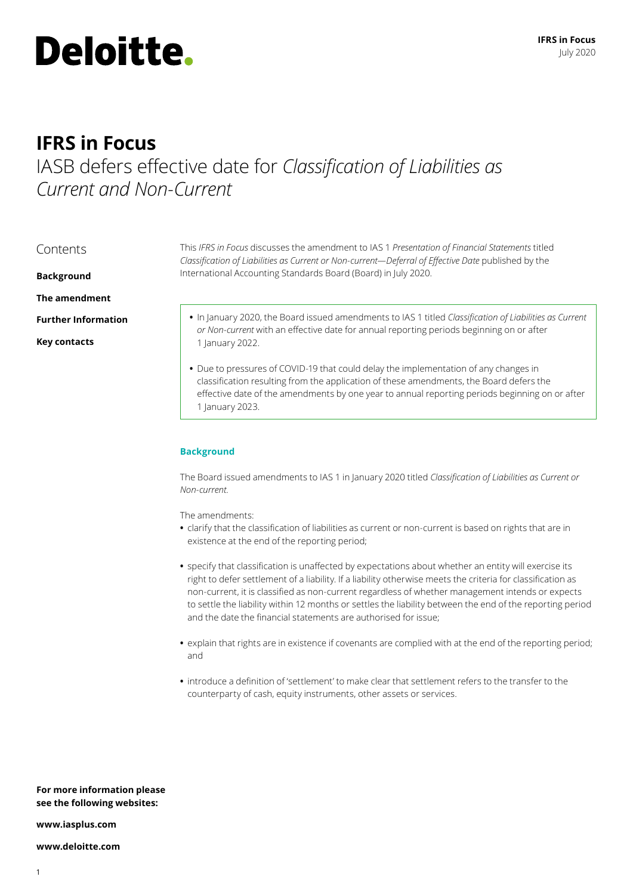# **Deloitte.**

## **IFRS in Focus**

# IASB defers effective date for *Classification of Liabilities as Current and Non-Current*

| Contents                   | This IFRS in Focus discusses the amendment to IAS 1 Presentation of Financial Statements titled<br>Classification of Liabilities as Current or Non-current-Deferral of Effective Date published by the |  |  |
|----------------------------|--------------------------------------------------------------------------------------------------------------------------------------------------------------------------------------------------------|--|--|
| <b>Background</b>          | International Accounting Standards Board (Board) in July 2020.                                                                                                                                         |  |  |
| The amendment              |                                                                                                                                                                                                        |  |  |
| <b>Further Information</b> | . In January 2020, the Board issued amendments to IAS 1 titled Classification of Liabilities as Current<br>or Non-current with an effective date for annual reporting periods beginning on or after    |  |  |
| <b>Key contacts</b>        | 1 January 2022.                                                                                                                                                                                        |  |  |
|                            | • Due to pressures of COVID-19 that could delay the implementation of any changes in                                                                                                                   |  |  |

*n* of any changes in classification resulting from the application of these amendments, the Board defers the effective date of the amendments by one year to annual reporting periods beginning on or after 1 January 2023.

## **Background**

The Board issued amendments to IAS 1 in January 2020 titled *Classification of Liabilities as Current or Non-current.*

The amendments:

- **•** clarify that the classification of liabilities as current or non-current is based on rights that are in existence at the end of the reporting period;
- **•** specify that classification is unaffected by expectations about whether an entity will exercise its right to defer settlement of a liability. If a liability otherwise meets the criteria for classification as non-current, it is classified as non-current regardless of whether management intends or expects to settle the liability within 12 months or settles the liability between the end of the reporting period and the date the financial statements are authorised for issue;
- **•** explain that rights are in existence if covenants are complied with at the end of the reporting period; and
- **•** introduce a definition of 'settlement' to make clear that settlement refers to the transfer to the counterparty of cash, equity instruments, other assets or services.

**For more information please see the following websites:**

**www.iasplus.com**

**www.deloitte.com**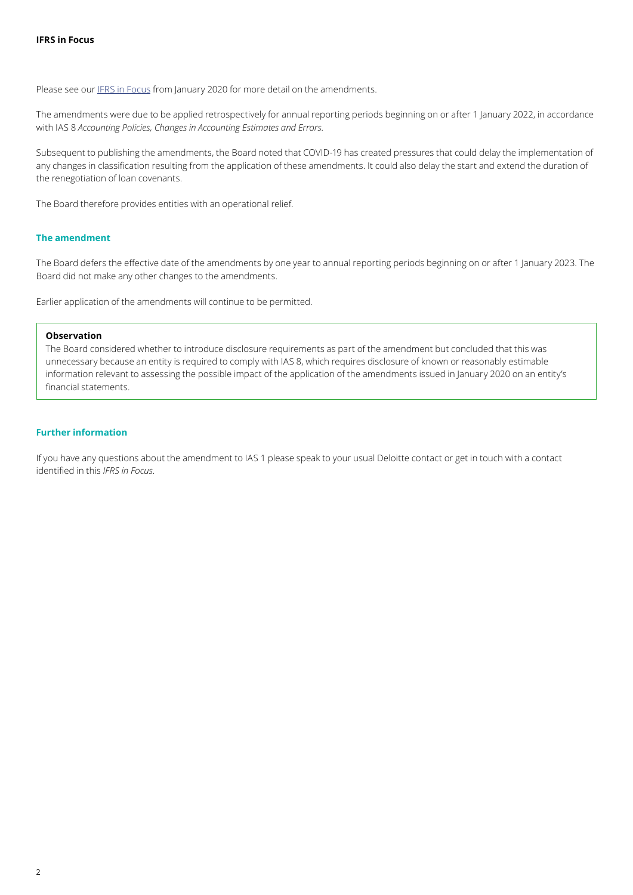Please see our [IFRS in Focus](https://www.iasplus.com/en/publications/global/ifrs-in-focus/2020/ias-1) from January 2020 for more detail on the amendments.

The amendments were due to be applied retrospectively for annual reporting periods beginning on or after 1 January 2022, in accordance with IAS 8 *Accounting Policies, Changes in Accounting Estimates and Errors.*

Subsequent to publishing the amendments, the Board noted that COVID-19 has created pressures that could delay the implementation of any changes in classification resulting from the application of these amendments. It could also delay the start and extend the duration of the renegotiation of loan covenants.

The Board therefore provides entities with an operational relief.

#### **The amendment**

The Board defers the effective date of the amendments by one year to annual reporting periods beginning on or after 1 January 2023. The Board did not make any other changes to the amendments.

Earlier application of the amendments will continue to be permitted.

#### **Observation**

The Board considered whether to introduce disclosure requirements as part of the amendment but concluded that this was unnecessary because an entity is required to comply with IAS 8, which requires disclosure of known or reasonably estimable information relevant to assessing the possible impact of the application of the amendments issued in January 2020 on an entity's financial statements.

#### **Further information**

If you have any questions about the amendment to IAS 1 please speak to your usual Deloitte contact or get in touch with a contact identified in this *IFRS in Focus*.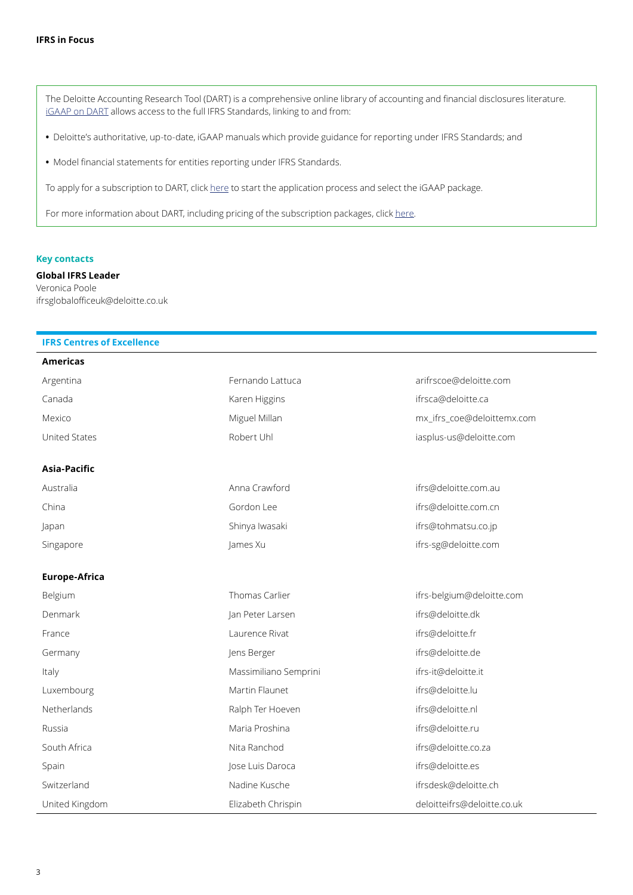The Deloitte Accounting Research Tool (DART) is a comprehensive online library of accounting and financial disclosures literature. [iGAAP on DART](https://dart.deloitte.com/iGAAP) allows access to the full IFRS Standards, linking to and from:

**•** Deloitte's authoritative, up-to-date, iGAAP manuals which provide guidance for reporting under IFRS Standards; and

**•** Model financial statements for entities reporting under IFRS Standards.

To apply for a subscription to [DART,](http://) click [here](https://subscriptionservices.deloitte.com/#/plan) to start the application process and select the iGAAP package.

For more information about DART, including pricing of the subscription packages, click [here](https://www2.deloitte.com/global/en/pages/audit/solutions/2019-igaap-on-dart-global.html).

#### **Key contacts**

**Global IFRS Leader** Veronica Poole ifrsglobalofficeuk@deloitte.co.uk

### **IFRS Centres of Excellence**

| <b>Americas</b>      |                       |                             |
|----------------------|-----------------------|-----------------------------|
| Argentina            | Fernando Lattuca      | arifrscoe@deloitte.com      |
| Canada               | Karen Higgins         | ifrsca@deloitte.ca          |
| Mexico               | Miguel Millan         | mx_ifrs_coe@deloittemx.com  |
| United States        | Robert Uhl            | iasplus-us@deloitte.com     |
| Asia-Pacific         |                       |                             |
| Australia            | Anna Crawford         | ifrs@deloitte.com.au        |
| China                | Gordon Lee            | ifrs@deloitte.com.cn        |
| Japan                | Shinya Iwasaki        | ifrs@tohmatsu.co.jp         |
| Singapore            | James Xu              | ifrs-sg@deloitte.com        |
| <b>Europe-Africa</b> |                       |                             |
| Belgium              | Thomas Carlier        | ifrs-belgium@deloitte.com   |
| Denmark              | Jan Peter Larsen      | ifrs@deloitte.dk            |
| France               | Laurence Rivat        | ifrs@deloitte.fr            |
| Germany              | Jens Berger           | ifrs@deloitte.de            |
| Italy                | Massimiliano Semprini | ifrs-it@deloitte.it         |
| Luxembourg           | Martin Flaunet        | ifrs@deloitte.lu            |
| Netherlands          | Ralph Ter Hoeven      | ifrs@deloitte.nl            |
| Russia               | Maria Proshina        | ifrs@deloitte.ru            |
| South Africa         | Nita Ranchod          | ifrs@deloitte.co.za         |
| Spain                | Jose Luis Daroca      | ifrs@deloitte.es            |
| Switzerland          | Nadine Kusche         | ifrsdesk@deloitte.ch        |
| United Kingdom       | Elizabeth Chrispin    | deloitteifrs@deloitte.co.uk |